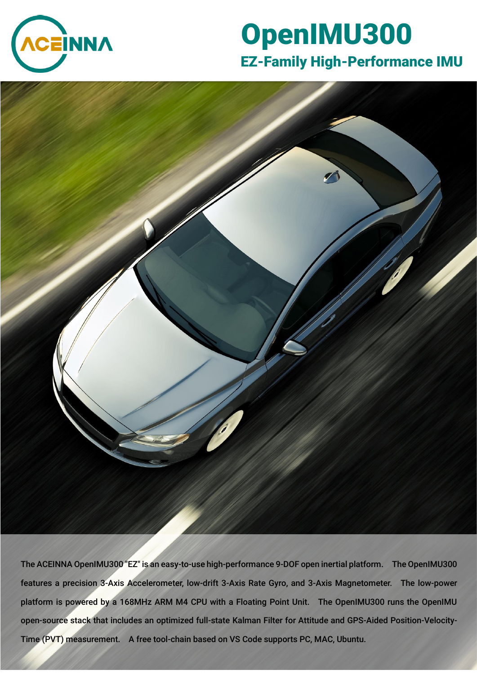

# OpenIMU300 EZ-Family High-Performance IMU



The ACEINNA OpenIMU300 "EZ" is an easy-to-use high-performance 9-DOF open inertial platform. The OpenIMU300 features a precision 3-Axis Accelerometer, low-drift 3-Axis Rate Gyro, and 3-Axis Magnetometer. The low-power platform is powered by a 168MHz ARM M4 CPU with a Floating Point Unit. The OpenIMU300 runs the OpenIMU open-source stack that includes an optimized full-state Kalman Filter for Attitude and GPS-Aided Position-Velocity-Time (PVT) measurement. A free tool-chain based on VS Code supports PC, MAC, Ubuntu.